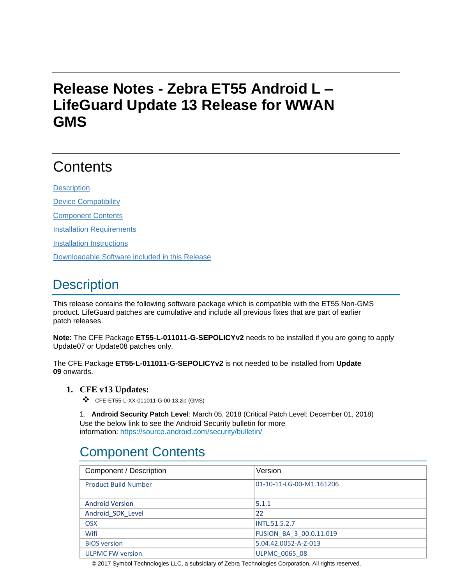# **Release Notes - Zebra ET55 Android L – LifeGuard Update 13 Release for WWAN GMS**

# **Contents**

**[Description](#page-0-0)** 

[Device Compatibility](#page-5-0)

[Component Contents](#page-5-1)

[Installation Requirements](#page-5-2)

[Installation Instructions](#page-5-3)

[Downloadable Software included in this Release](#page-6-0)

# <span id="page-0-0"></span>**Description**

This release contains the following software package which is compatible with the ET55 Non-GMS product. LifeGuard patches are cumulative and include all previous fixes that are part of earlier patch releases.

**Note**: The CFE Package **ET55-L-011011-G-SEPOLICYv2** needs to be installed if you are going to apply Update07 or Update08 patches only.

The CFE Package **ET55-L-011011-G-SEPOLICYv2** is not needed to be installed from **Update 09** onwards.

#### **1. CFE v13 Updates:**

❖ CFE-ET55-L-XX-011011-G-00-13.zip (GMS)

1. **Android Security Patch Level**: March 05, 2018 (Critical Patch Level: December 01, 2018) Use the below link to see the Android Security bulletin for more information:<https://source.android.com/security/bulletin/>

# Component Contents

| Component / Description     | Version                  |
|-----------------------------|--------------------------|
|                             |                          |
| <b>Product Build Number</b> | 01-10-11-LG-00-M1.161206 |
|                             |                          |
| <b>Android Version</b>      | 5.1.1                    |
| Android SDK Level           | 22                       |
| <b>OSX</b>                  | <b>INTL.51.5.2.7</b>     |
| Wifi                        | FUSION BA 3 00.0.11.019  |
| <b>BIOS</b> version         | 5.04.42.0052-A-Z-013     |
| <b>ULPMC FW version</b>     | <b>ULPMC 0065 08</b>     |

© 2017 Symbol Technologies LLC, a subsidiary of Zebra Technologies Corporation. All rights reserved.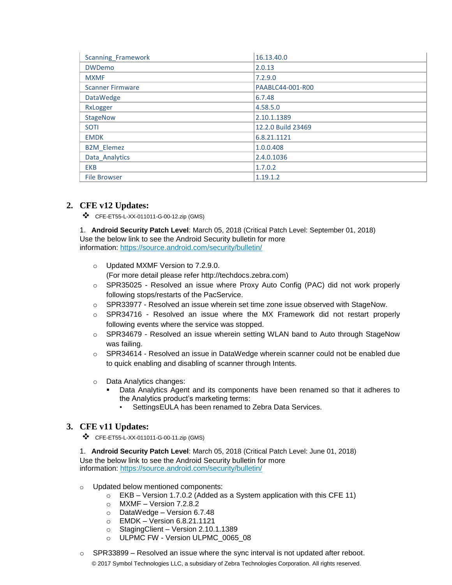| <b>Scanning Framework</b> | 16.13.40.0         |
|---------------------------|--------------------|
| <b>DWDemo</b>             | 2.0.13             |
| <b>MXMF</b>               | 7.2.9.0            |
| <b>Scanner Firmware</b>   | PAABLC44-001-R00   |
| <b>DataWedge</b>          | 6.7.48             |
| RxLogger                  | 4.58.5.0           |
| <b>StageNow</b>           | 2.10.1.1389        |
| <b>SOTI</b>               | 12.2.0 Build 23469 |
| <b>EMDK</b>               | 6.8.21.1121        |
| <b>B2M Elemez</b>         | 1.0.0.408          |
| Data Analytics            | 2.4.0.1036         |
| <b>EKB</b>                | 1.7.0.2            |
| <b>File Browser</b>       | 1.19.1.2           |

### **2. CFE v12 Updates:**

❖ CFE-ET55-L-XX-011011-G-00-12.zip (GMS)

1. **Android Security Patch Level**: March 05, 2018 (Critical Patch Level: September 01, 2018) Use the below link to see the Android Security bulletin for more information:<https://source.android.com/security/bulletin/>

- o Updated MXMF Version to 7.2.9.0. (For more detail please refer http://techdocs.zebra.com)
- $\circ$  SPR35025 Resolved an issue where Proxy Auto Config (PAC) did not work properly following stops/restarts of the PacService.
- o SPR33977 Resolved an issue wherein set time zone issue observed with StageNow.
- $\circ$  SPR34716 Resolved an issue where the MX Framework did not restart properly following events where the service was stopped.
- o SPR34679 Resolved an issue wherein setting WLAN band to Auto through StageNow was failing.
- o SPR34614 Resolved an issue in DataWedge wherein scanner could not be enabled due to quick enabling and disabling of scanner through Intents.
- o Data Analytics changes:
	- Data Analytics Agent and its components have been renamed so that it adheres to the Analytics product's marketing terms:
		- SettingsEULA has been renamed to Zebra Data Services.

#### **3. CFE v11 Updates:**

❖ CFE-ET55-L-XX-011011-G-00-11.zip (GMS)

1. **Android Security Patch Level**: March 05, 2018 (Critical Patch Level: June 01, 2018) Use the below link to see the Android Security bulletin for more information:<https://source.android.com/security/bulletin/>

- o Updated below mentioned components:
	- o EKB Version 1.7.0.2 (Added as a System application with this CFE 11)
	- o MXMF Version 7.2.8.2
	- o DataWedge Version 6.7.48
	- o EMDK Version 6.8.21.1121
	- o StagingClient Version 2.10.1.1389
	- o ULPMC FW Version ULPMC\_0065\_08
- © 2017 Symbol Technologies LLC, a subsidiary of Zebra Technologies Corporation. All rights reserved.  $\circ$  SPR33899 – Resolved an issue where the sync interval is not updated after reboot.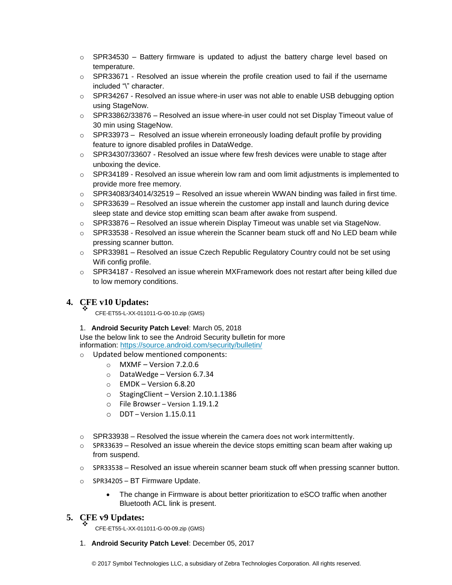- $\circ$  SPR34530 Battery firmware is updated to adjust the battery charge level based on temperature.
- $\circ$  SPR33671 Resolved an issue wherein the profile creation used to fail if the username included "\" character.
- $\circ$  SPR34267 Resolved an issue where-in user was not able to enable USB debugging option using StageNow.
- $\circ$  SPR33862/33876 Resolved an issue where-in user could not set Display Timeout value of 30 min using StageNow.
- $\circ$  SPR33973 Resolved an issue wherein erroneously loading default profile by providing feature to ignore disabled profiles in DataWedge.
- o SPR34307/33607 Resolved an issue where few fresh devices were unable to stage after unboxing the device.
- o SPR34189 Resolved an issue wherein low ram and oom limit adjustments is implemented to provide more free memory.
- o SPR34083/34014/32519 Resolved an issue wherein WWAN binding was failed in first time.
- $\circ$  SPR33639 Resolved an issue wherein the customer app install and launch during device sleep state and device stop emitting scan beam after awake from suspend.
- $\circ$  SPR33876 Resolved an issue wherein Display Timeout was unable set via StageNow.
- o SPR33538 Resolved an issue wherein the Scanner beam stuck off and No LED beam while pressing scanner button.
- o SPR33981 Resolved an issue Czech Republic Regulatory Country could not be set using Wifi config profile.
- o SPR34187 Resolved an issue wherein MXFramework does not restart after being killed due to low memory conditions.

#### **4. CFE v10 Updates:** ❖

CFE-ET55-L-XX-011011-G-00-10.zip (GMS)

1. **Android Security Patch Level**: March 05, 2018

Use the below link to see the Android Security bulletin for more information:<https://source.android.com/security/bulletin/>

- o Updated below mentioned components:
	- $\circ$  MXMF Version 7.2.0.6
	- o DataWedge Version 6.7.34
	- $\circ$  EMDK Version 6.8.20
	- o StagingClient Version 2.10.1.1386
	- o File Browser Version 1.19.1.2
	- $O$  DDT Version 1.15.0.11
- $\circ$  SPR33938 Resolved the issue wherein the camera does not work intermittently.
- $\circ$  SPR33639 Resolved an issue wherein the device stops emitting scan beam after waking up from suspend.
- $\circ$  SPR33538 Resolved an issue wherein scanner beam stuck off when pressing scanner button.
- o SPR34205 BT Firmware Update.
	- The change in Firmware is about better prioritization to eSCO traffic when another Bluetooth ACL link is present.

### **5. CFE v9 Updates:**

❖ CFE-ET55-L-XX-011011-G-00-09.zip (GMS)

1. **Android Security Patch Level**: December 05, 2017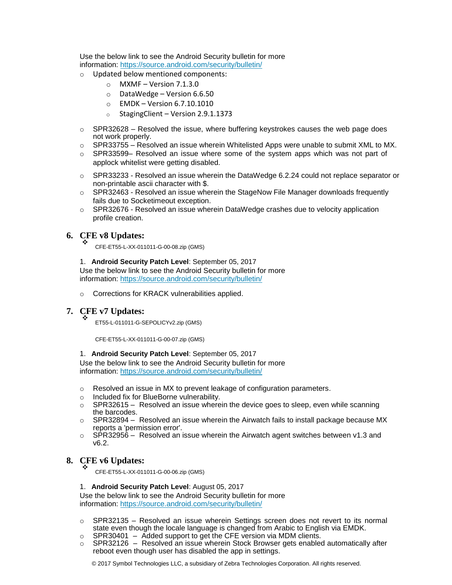Use the below link to see the Android Security bulletin for more information:<https://source.android.com/security/bulletin/>

- o Updated below mentioned components:
	- $\circ$  MXMF Version 7.1.3.0
	- o DataWedge Version 6.6.50
	- o EMDK Version 6.7.10.1010
	- o StagingClient Version 2.9.1.1373
- $\circ$  SPR32628 Resolved the issue, where buffering keystrokes causes the web page does not work properly.
- $\circ$  SPR33755 Resolved an issue wherein Whitelisted Apps were unable to submit XML to MX.
- o SPR33599– Resolved an issue where some of the system apps which was not part of applock whitelist were getting disabled.
- $\circ$  SPR33233 Resolved an issue wherein the DataWedge 6.2.24 could not replace separator or non-printable ascii character with \$.
- $\circ$  SPR32463 Resolved an issue wherein the StageNow File Manager downloads frequently fails due to Socketimeout exception.
- $\circ$  SPR32676 Resolved an issue wherein DataWedge crashes due to velocity application profile creation.

#### **6. CFE v8 Updates:** ❖

CFE-ET55-L-XX-011011-G-00-08.zip (GMS)

1. **Android Security Patch Level**: September 05, 2017 Use the below link to see the Android Security bulletin for more information:<https://source.android.com/security/bulletin/>

o Corrections for KRACK vulnerabilities applied.

#### **7. CFE v7 Updates:** ❖

ET55-L-011011-G-SEPOLICYv2.zip (GMS)

CFE-ET55-L-XX-011011-G-00-07.zip (GMS)

#### 1. **Android Security Patch Level**: September 05, 2017

Use the below link to see the Android Security bulletin for more information:<https://source.android.com/security/bulletin/>

- o Resolved an issue in MX to prevent leakage of configuration parameters.
- o Included fix for BlueBorne vulnerability.
- $\circ$  SPR32615 Resolved an issue wherein the device goes to sleep, even while scanning the barcodes.
- $\circ$  SPR32894 Resolved an issue wherein the Airwatch fails to install package because MX reports a 'permission error'.
- $\circ$  SPR32956 Resolved an issue wherein the Airwatch agent switches between v1.3 and v6.2.

#### **8. CFE v6 Updates:** ❖

CFE-ET55-L-XX-011011-G-00-06.zip (GMS)

#### 1. **Android Security Patch Level**: August 05, 2017

Use the below link to see the Android Security bulletin for more information:<https://source.android.com/security/bulletin/>

- $\circ$  SPR32135 Resolved an issue wherein Settings screen does not revert to its normal state even though the locale language is changed from Arabic to English via EMDK.
- $\circ$  SPR30401 Added support to get the CFE version via MDM clients.
- $\circ$  SPR32126 Resolved an issue wherein Stock Browser gets enabled automatically after reboot even though user has disabled the app in settings.

© 2017 Symbol Technologies LLC, a subsidiary of Zebra Technologies Corporation. All rights reserved.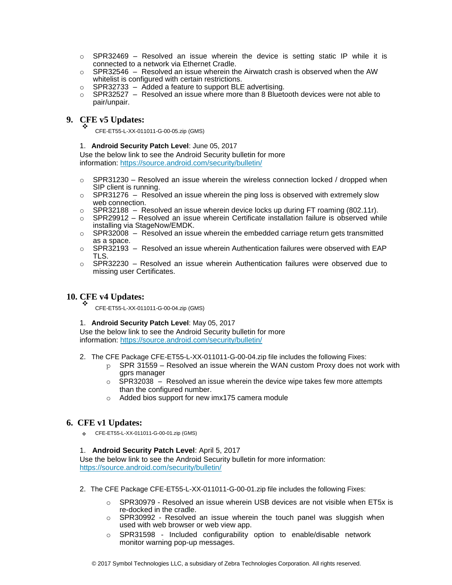- $\circ$  SPR32469 Resolved an issue wherein the device is setting static IP while it is connected to a network via Ethernet Cradle.
- $\circ$  SPR32546 Resolved an issue wherein the Airwatch crash is observed when the AW whitelist is configured with certain restrictions.
- $\circ$  SPR32733 Added a feature to support BLE advertising.
- $\circ$  SPR32527 Resolved an issue where more than 8 Bluetooth devices were not able to pair/unpair.

## **9. CFE v5 Updates:** ❖

CFE-ET55-L-XX-011011-G-00-05.zip (GMS)

#### 1. **Android Security Patch Level**: June 05, 2017

Use the below link to see the Android Security bulletin for more information:<https://source.android.com/security/bulletin/>

- $\circ$  SPR31230 Resolved an issue wherein the wireless connection locked / dropped when SIP client is running.
- $\circ$  SPR31276 Resolved an issue wherein the ping loss is observed with extremely slow web connection.
- $\circ$  SPR32188 Resolved an issue wherein device locks up during FT roaming (802.11r).
- $\circ$  SPR29912 Resolved an issue wherein Certificate installation failure is observed while installing via StageNow/EMDK.
- $\circ$  SPR32008 Resolved an issue wherein the embedded carriage return gets transmitted as a space.
- $\circ$  SPR32193 Resolved an issue wherein Authentication failures were observed with EAP TLS.
- $\circ$  SPR32230 Resolved an issue wherein Authentication failures were observed due to missing user Certificates.

#### **10. CFE v4 Updates:** ❖

CFE-ET55-L-XX-011011-G-00-04.zip (GMS)

1. **Android Security Patch Level**: May 05, 2017

Use the below link to see the Android Security bulletin for more information:<https://source.android.com/security/bulletin/>

- 2. The CFE Package CFE-ET55-L-XX-011011-G-00-04.zip file includes the following Fixes:
	- $p$  SPR 31559 Resolved an issue wherein the WAN custom Proxy does not work with gprs manager
	- $\circ$  SPR32038 Resolved an issue wherein the device wipe takes few more attempts than the configured number.
	- o Added bios support for new imx175 camera module

#### **6. CFE v1 Updates:**

❖ CFE-ET55-L-XX-011011-G-00-01.zip (GMS)

#### 1. **Android Security Patch Level**: April 5, 2017

Use the below link to see the Android Security bulletin for more information: <https://source.android.com/security/bulletin/>

- 2. The CFE Package CFE-ET55-L-XX-011011-G-00-01.zip file includes the following Fixes:
	- $\circ$  SPR30979 Resolved an issue wherein USB devices are not visible when ET5x is re-docked in the cradle.
	- $\circ$  SPR30992 Resolved an issue wherein the touch panel was sluggish when used with web browser or web view app.
	- o SPR31598 Included configurability option to enable/disable network monitor warning pop-up messages.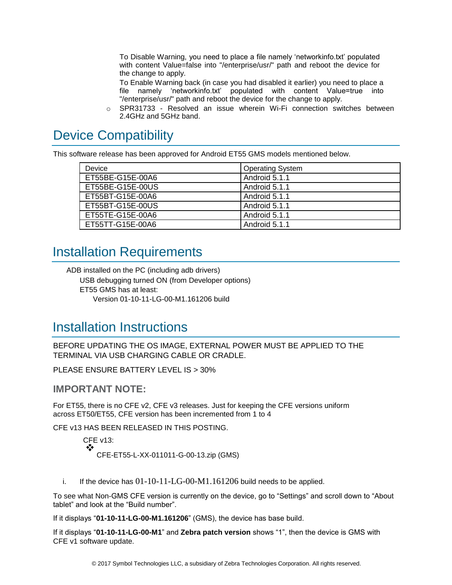To Disable Warning, you need to place a file namely 'networkinfo.txt' populated with content Value=false into "/enterprise/usr/" path and reboot the device for the change to apply.

To Enable Warning back (in case you had disabled it earlier) you need to place a file namely 'networkinfo.txt' populated with content Value=true into "/enterprise/usr/" path and reboot the device for the change to apply.

o SPR31733 - Resolved an issue wherein Wi-Fi connection switches between 2.4GHz and 5GHz band.

# <span id="page-5-0"></span>Device Compatibility

This software release has been approved for Android ET55 GMS models mentioned below.

| Device           | <b>Operating System</b> |
|------------------|-------------------------|
| ET55BE-G15E-00A6 | Android 5.1.1           |
| ET55BE-G15E-00US | Android 5.1.1           |
| ET55BT-G15E-00A6 | Android 5.1.1           |
| ET55BT-G15E-00US | Android 5.1.1           |
| ET55TE-G15E-00A6 | Android 5.1.1           |
| ET55TT-G15E-00A6 | Android 5.1.1           |

## <span id="page-5-2"></span><span id="page-5-1"></span>Installation Requirements

ADB installed on the PC (including adb drivers) USB debugging turned ON (from Developer options) ET55 GMS has at least: Version 01-10-11-LG-00-M1.161206 build

## <span id="page-5-3"></span>Installation Instructions

BEFORE UPDATING THE OS IMAGE, EXTERNAL POWER MUST BE APPLIED TO THE TERMINAL VIA USB CHARGING CABLE OR CRADLE.

PLEASE ENSURE BATTERY LEVEL IS > 30%

### **IMPORTANT NOTE:**

For ET55, there is no CFE v2, CFE v3 releases. Just for keeping the CFE versions uniform across ET50/ET55, CFE version has been incremented from 1 to 4

CFE v13 HAS BEEN RELEASED IN THIS POSTING.

CFE v13: ❖ CFE-ET55-L-XX-011011-G-00-13.zip (GMS)

i. If the device has  $01-10-11-LG-00-M1.161206$  build needs to be applied.

To see what Non-GMS CFE version is currently on the device, go to "Settings" and scroll down to "About tablet" and look at the "Build number".

If it displays "**01-10-11-LG-00-M1.161206**" (GMS), the device has base build.

If it displays "**01-10-11-LG-00-M1**" and **Zebra patch version** shows "1", then the device is GMS with CFE v1 software update.